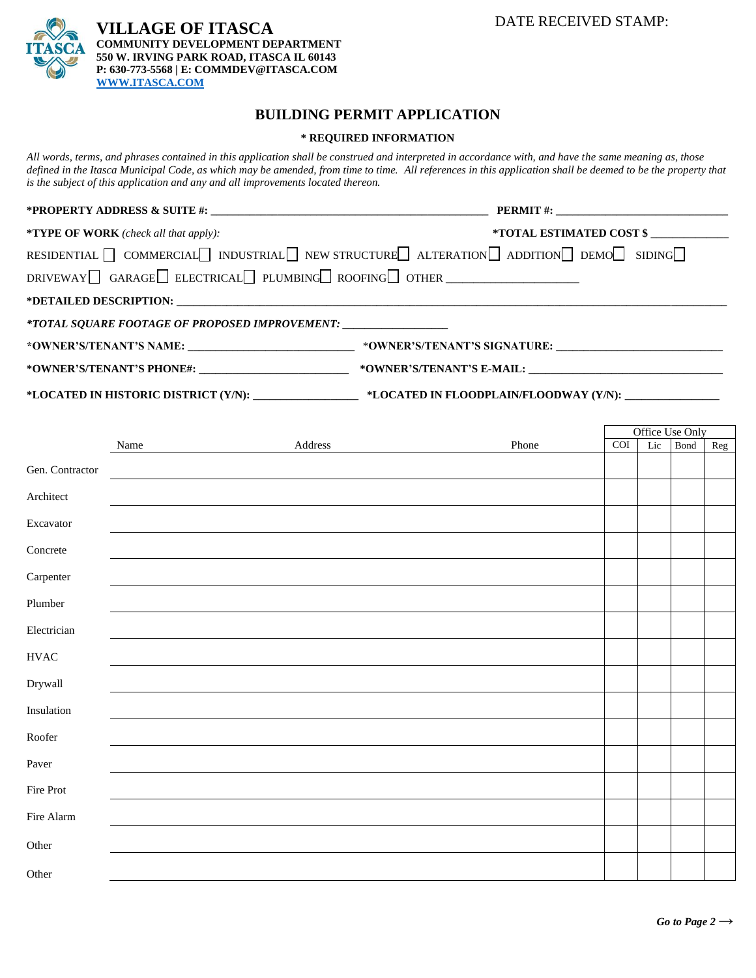DATE RECEIVED STAMP:



## **BUILDING PERMIT APPLICATION**

## **\* REQUIRED INFORMATION**

*All words, terms, and phrases contained in this application shall be construed and interpreted in accordance with, and have the same meaning as, those defined in the Itasca Municipal Code, as which may be amended, from time to time. All references in this application shall be deemed to be the property that is the subject of this application and any and all improvements located thereon.*

|                                                                                                      | PERMIT #:                |  |  |  |  |
|------------------------------------------------------------------------------------------------------|--------------------------|--|--|--|--|
| <b>*TYPE OF WORK</b> (check all that apply):                                                         | *TOTAL ESTIMATED COST \$ |  |  |  |  |
| RESIDENTIAL $\Box$ COMMERCIAL INDUSTRIAL NEW STRUCTURE ALTERATION $\Box$ ADDITION DEMO $\Box$ SIDING |                          |  |  |  |  |
| $DRIVEWAY$ GARAGE ELECTRICAL PLUMBING ROOFING OTHER                                                  |                          |  |  |  |  |
|                                                                                                      |                          |  |  |  |  |
| *TOTAL SQUARE FOOTAGE OF PROPOSED IMPROVEMENT: _______________                                       |                          |  |  |  |  |
|                                                                                                      |                          |  |  |  |  |
|                                                                                                      |                          |  |  |  |  |
|                                                                                                      |                          |  |  |  |  |

**\*LOCATED IN HISTORIC DISTRICT (Y/N): \_\_\_\_\_\_\_\_\_\_\_\_\_\_\_\_\_\_\_ \*LOCATED IN FLOODPLAIN/FLOODWAY (Y/N): \_\_\_\_\_\_\_\_\_\_\_\_\_\_\_\_\_**

|                 |      |                                   |       |     | Office Use Only |      |     |
|-----------------|------|-----------------------------------|-------|-----|-----------------|------|-----|
|                 | Name | $\operatorname{\mathsf{Address}}$ | Phone | COI | Lic             | Bond | Reg |
| Gen. Contractor |      |                                   |       |     |                 |      |     |
| Architect       |      |                                   |       |     |                 |      |     |
| Excavator       |      |                                   |       |     |                 |      |     |
| Concrete        |      |                                   |       |     |                 |      |     |
| Carpenter       |      |                                   |       |     |                 |      |     |
| Plumber         |      |                                   |       |     |                 |      |     |
| Electrician     |      |                                   |       |     |                 |      |     |
| <b>HVAC</b>     |      |                                   |       |     |                 |      |     |
| Drywall         |      |                                   |       |     |                 |      |     |
| Insulation      |      |                                   |       |     |                 |      |     |
| Roofer          |      |                                   |       |     |                 |      |     |
| Paver           |      |                                   |       |     |                 |      |     |
| Fire Prot       |      |                                   |       |     |                 |      |     |
| Fire Alarm      |      |                                   |       |     |                 |      |     |
| Other           |      |                                   |       |     |                 |      |     |
| Other           |      |                                   |       |     |                 |      |     |